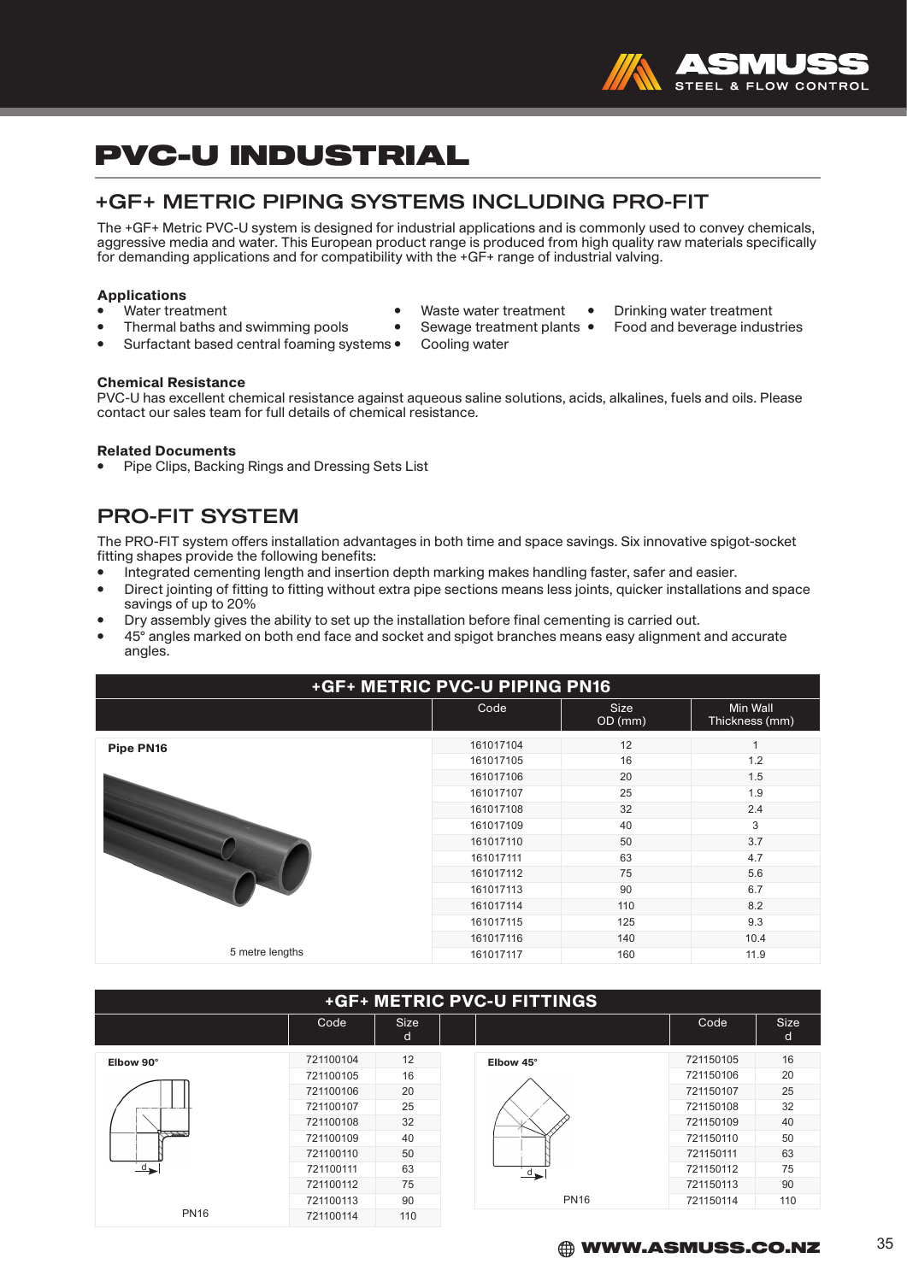

#### +GF+ METRIC PIPING SYSTEMS INCLUDING PRO-FIT

The +GF+ Metric PVC-U system is designed for industrial applications and is commonly used to convey chemicals, aggressive media and water. This European product range is produced from high quality raw materials specifically for demanding applications and for compatibility with the +GF+ range of industrial valving.

## **Applications**<br>• Water treatment

- 
- 
- Thermal baths and swimming pools Sewage treatrent plants Sewage treatrent plants Fooding water Surfactant based central foaming systems •
- 
- 
- Waste water treatment Drinking water treatment<br>Sewage treatment plants Food and beverage industries

Chemical Resistance

PVC-U has excellent chemical resistance against aqueous saline solutions, acids, alkalines, fuels and oils. Please contact our sales team for full details of chemical resistance.

#### Related Documents

• Pipe Clips, Backing Rings and Dressing Sets List

### PRO-FIT SYSTEM

The PRO-FIT system offers installation advantages in both time and space savings. Six innovative spigot-socket fitting shapes provide the following benefits:

- Integrated cementing length and insertion depth marking makes handling faster, safer and easier.
- Direct jointing of fitting to fitting without extra pipe sections means less joints, quicker installations and space savings of up to 20%
- Dry assembly gives the ability to set up the installation before final cementing is carried out.
- 45° angles marked on both end face and socket and spigot branches means easy alignment and accurate angles.

| +GF+ METRIC PVC-U PIPING PN16 |           |                        |                            |  |  |  |  |  |  |
|-------------------------------|-----------|------------------------|----------------------------|--|--|--|--|--|--|
|                               | Code      | <b>Size</b><br>OD (mm) | Min Wall<br>Thickness (mm) |  |  |  |  |  |  |
| Pipe PN16                     | 161017104 | 12                     |                            |  |  |  |  |  |  |
|                               | 161017105 | 16                     | 1.2                        |  |  |  |  |  |  |
|                               | 161017106 | 20                     | 1.5                        |  |  |  |  |  |  |
|                               | 161017107 | 25                     | 1.9                        |  |  |  |  |  |  |
|                               | 161017108 | 32                     | 2.4                        |  |  |  |  |  |  |
|                               | 161017109 | 40                     | 3                          |  |  |  |  |  |  |
|                               | 161017110 | 50                     | 3.7                        |  |  |  |  |  |  |
|                               | 161017111 | 63                     | 4.7                        |  |  |  |  |  |  |
|                               | 161017112 | 75                     | 5.6                        |  |  |  |  |  |  |
|                               | 161017113 | 90                     | 6.7                        |  |  |  |  |  |  |
|                               | 161017114 | 110                    | 8.2                        |  |  |  |  |  |  |
|                               | 161017115 | 125                    | 9.3                        |  |  |  |  |  |  |
|                               | 161017116 | 140                    | 10.4                       |  |  |  |  |  |  |
| 5 metre lengths               | 161017117 | 160                    | 11.9                       |  |  |  |  |  |  |

#### +GF+ METRIC PVC-U FITTINGS

|                           | Code      | <b>Size</b><br>d |               | Code      | <b>Size</b><br>d |
|---------------------------|-----------|------------------|---------------|-----------|------------------|
| Elbow 90°                 | 721100104 | 12               | Elbow 45°     | 721150105 | 16               |
|                           | 721100105 | 16               |               | 721150106 | 20               |
|                           | 721100106 | 20               |               | 721150107 | 25               |
|                           | 721100107 | 25               |               | 721150108 | 32               |
|                           | 721100108 | 32               |               | 721150109 | 40               |
| 1777                      | 721100109 | 40               |               | 721150110 | 50               |
|                           | 721100110 | 50               |               | 721150111 | 63               |
| $d_{\blacktriangleright}$ | 721100111 | 63               | $\rightarrow$ | 721150112 | 75               |
|                           | 721100112 | 75               |               | 721150113 | 90               |
|                           | 721100113 | 90               | <b>PN16</b>   | 721150114 | 110              |
| <b>PN16</b>               | 721100114 | 110              |               |           |                  |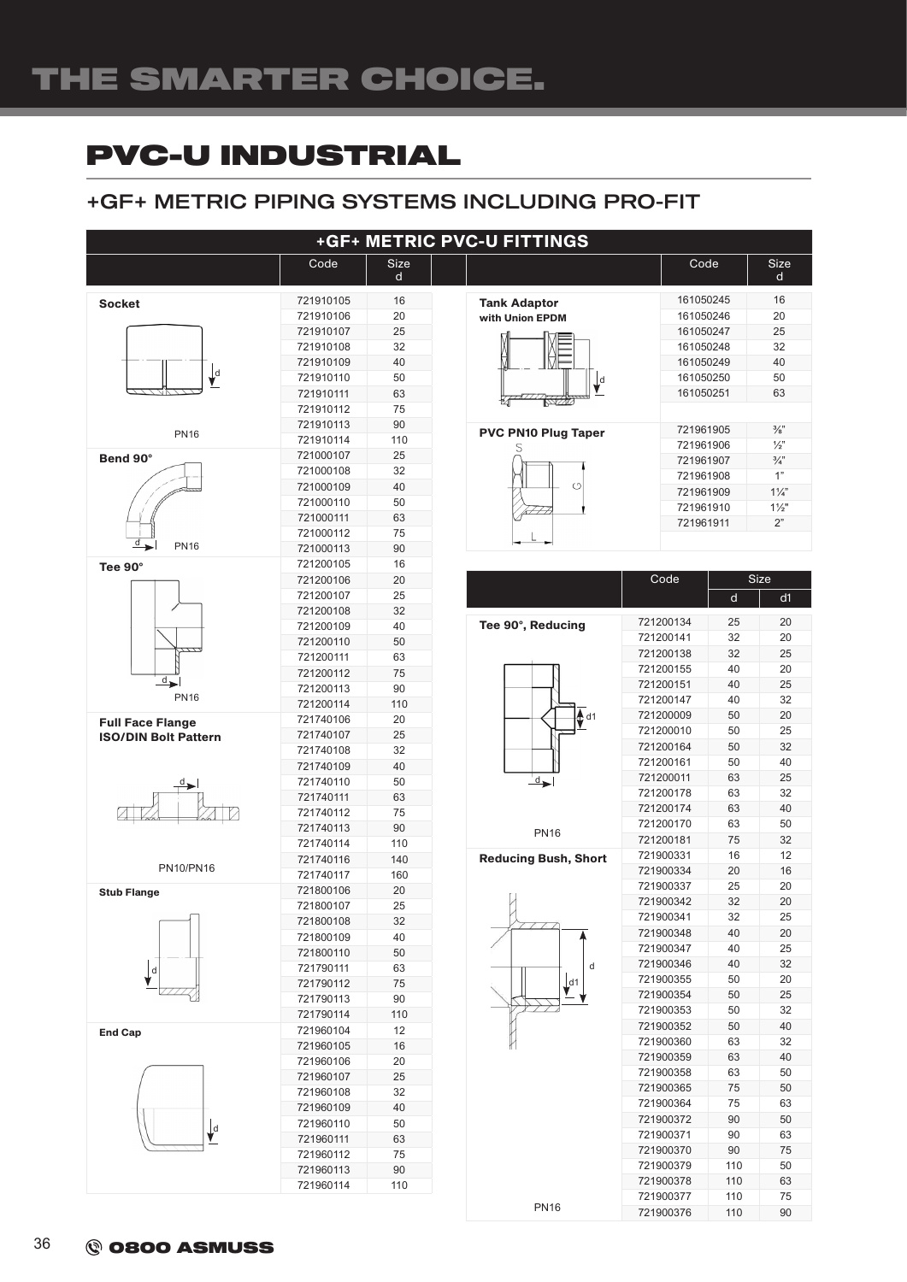#### +GF+ METRIC PIPING SYSTEMS INCLUDING PRO-FIT



PN16

110 90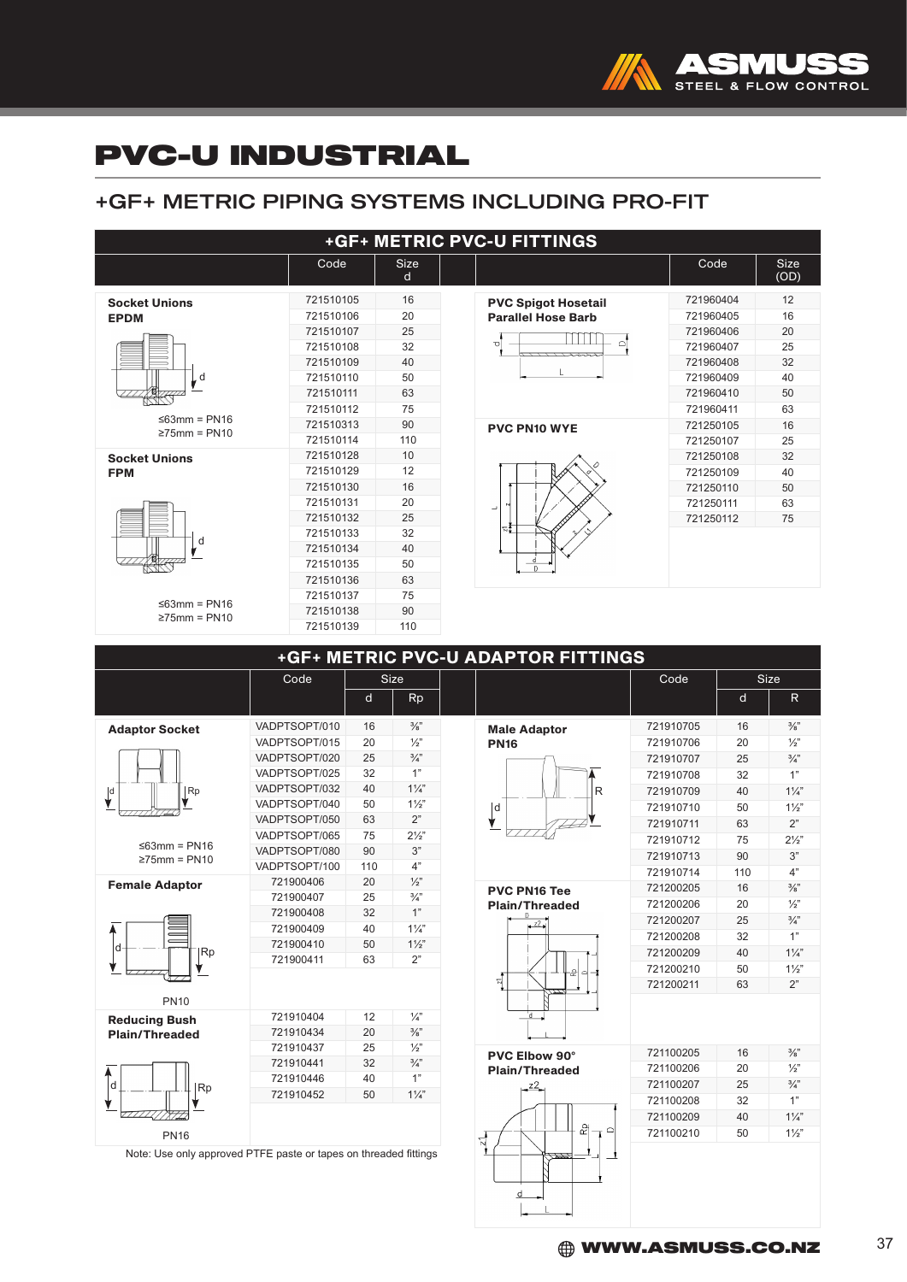

### +GF+ METRIC PIPING SYSTEMS INCLUDING PRO-FIT

| +GF+ METRIC PVC-U FITTINGS                |                |   |                      |                                    |                |                 |              |  |  |  |  |
|-------------------------------------------|----------------|---|----------------------|------------------------------------|----------------|-----------------|--------------|--|--|--|--|
|                                           | Code           |   | <b>Size</b><br>d     |                                    | Code           |                 | Size<br>(OD) |  |  |  |  |
| <b>Socket Unions</b>                      | 721510105      |   | 16                   | <b>PVC Spigot Hosetail</b>         | 721960404      |                 | 12           |  |  |  |  |
| <b>EPDM</b>                               | 721510106      |   | 20                   | <b>Parallel Hose Barb</b>          | 721960405      |                 | 16           |  |  |  |  |
|                                           | 721510107      |   | 25                   |                                    | 721960406      |                 | 20           |  |  |  |  |
|                                           | 721510108      |   | 32                   | ി<br>ত                             | 721960407      |                 | 25           |  |  |  |  |
|                                           | 721510109      |   | 40                   |                                    | 721960408      |                 | 32           |  |  |  |  |
| d                                         | 721510110      |   | 50                   |                                    | 721960409      |                 | 40           |  |  |  |  |
|                                           | 721510111      |   | 63                   |                                    | 721960410      |                 | 50           |  |  |  |  |
|                                           | 721510112      |   | 75                   |                                    | 721960411      |                 | 63           |  |  |  |  |
| $\leq$ 63mm = PN16                        | 721510313      |   | 90                   | <b>PVC PN10 WYE</b>                | 721250105      |                 | 16           |  |  |  |  |
| $\geq$ 75mm = PN10                        | 721510114      |   | 110                  |                                    | 721250107      |                 | 25           |  |  |  |  |
| <b>Socket Unions</b>                      | 721510128      |   | 10                   |                                    | 721250108      |                 | 32           |  |  |  |  |
| <b>FPM</b>                                | 721510129      |   | 12                   |                                    | 721250109      |                 | 40           |  |  |  |  |
|                                           | 721510130      |   | 16                   |                                    | 721250110      |                 | 50           |  |  |  |  |
|                                           | 721510131      |   | 20                   | $\overline{\phantom{a}}$           | 721250111      |                 | 63           |  |  |  |  |
|                                           | 721510132      |   | 25                   |                                    | 721250112      |                 | 75           |  |  |  |  |
|                                           | 721510133      |   | 32                   | ≂∮                                 |                |                 |              |  |  |  |  |
| d                                         | 721510134      |   | 40                   |                                    |                |                 |              |  |  |  |  |
|                                           | 721510135      |   | 50                   |                                    |                |                 |              |  |  |  |  |
|                                           | 721510136      |   | 63                   |                                    |                |                 |              |  |  |  |  |
|                                           | 721510137      |   | 75                   |                                    |                |                 |              |  |  |  |  |
| $\leq 63$ mm = PN16<br>$\geq$ 75mm = PN10 | 721510138      |   | 90                   |                                    |                |                 |              |  |  |  |  |
|                                           | 721510139      |   | 110                  |                                    |                |                 |              |  |  |  |  |
|                                           |                |   |                      |                                    |                |                 |              |  |  |  |  |
|                                           |                |   |                      | +GF+ METRIC PVC-U ADAPTOR FITTINGS |                |                 |              |  |  |  |  |
|                                           | Code           |   | Size                 |                                    | Code           | <b>Size</b>     |              |  |  |  |  |
|                                           |                | d | <b>Rp</b>            |                                    |                | d               | $\mathsf{R}$ |  |  |  |  |
|                                           | $\frac{1}{40}$ |   | $\sim$ $\sim$ $\sim$ |                                    | $\frac{1}{20}$ | $\overline{10}$ | 2/11         |  |  |  |  |

|                                                                  |               | <u>u</u> | <b>RD</b>       |                                               |           | <b>u</b> | ĸ               |
|------------------------------------------------------------------|---------------|----------|-----------------|-----------------------------------------------|-----------|----------|-----------------|
| <b>Adaptor Socket</b>                                            | VADPTSOPT/010 | 16       | $\frac{3}{8}$ " | <b>Male Adaptor</b>                           | 721910705 | 16       | $\frac{3}{8}$ " |
|                                                                  | VADPTSOPT/015 | 20       | $\frac{1}{2}$   | <b>PN16</b>                                   | 721910706 | 20       | $\frac{1}{2}$   |
|                                                                  | VADPTSOPT/020 | 25       | $\frac{3}{4}$ " |                                               | 721910707 | 25       | $\frac{3}{4}$   |
|                                                                  | VADPTSOPT/025 | 32       | 1"              |                                               | 721910708 | 32       | 1"              |
| $\mathsf{L}^{\mathsf{d}}$<br>Rp                                  | VADPTSOPT/032 | 40       | $1\frac{1}{4}$  | R                                             | 721910709 | 40       | $1\frac{1}{4}$  |
|                                                                  | VADPTSOPT/040 | 50       | $1\frac{1}{2}$  | d                                             | 721910710 | 50       | $1\frac{1}{2}$  |
|                                                                  | VADPTSOPT/050 | 63       | 2"              |                                               | 721910711 | 63       | 2"              |
|                                                                  | VADPTSOPT/065 | 75       | $2\frac{1}{2}$  |                                               | 721910712 | 75       | $2\frac{1}{2}$  |
| $\leq 63$ mm = PN16<br>$\geq$ 75mm = PN10                        | VADPTSOPT/080 | 90       | 3"              |                                               | 721910713 | 90       | 3"              |
|                                                                  | VADPTSOPT/100 | 110      | 4"              |                                               | 721910714 | 110      | 4"              |
| <b>Female Adaptor</b>                                            | 721900406     | 20       | $\frac{1}{2}$   | <b>PVC PN16 Tee</b>                           | 721200205 | 16       | $\frac{3}{8}$ " |
|                                                                  | 721900407     | 25       | $\frac{3}{4}$ " | <b>Plain/Threaded</b>                         | 721200206 | 20       | $\frac{1}{2}$   |
|                                                                  | 721900408     | 32       | 1"              |                                               | 721200207 | 25       | $\frac{3}{4}$   |
|                                                                  | 721900409     | 40       | $1\frac{1}{4}$  | $22 -$                                        | 721200208 | 32       | 1"              |
| ld<br> Rp                                                        | 721900410     | 50       | $1\frac{1}{2}$  |                                               | 721200209 | 40       | $1\frac{1}{4}$  |
|                                                                  | 721900411     | 63       | 2"              |                                               | 721200210 | 50       | $1\frac{1}{2}$  |
|                                                                  |               |          |                 | ٠ê<br>$\bigcirc$<br>$\frac{1}{2}$             | 721200211 | 63       | 2"              |
| <b>PN10</b>                                                      |               |          |                 |                                               |           |          |                 |
| <b>Reducing Bush</b>                                             | 721910404     | 12       | $\frac{1}{4}$   | 'n                                            |           |          |                 |
| <b>Plain/Threaded</b>                                            | 721910434     | 20       | $\frac{3}{8}$ " |                                               |           |          |                 |
|                                                                  | 721910437     | 25       | $\frac{1}{2}$   |                                               | 721100205 | 16       | $\frac{3}{8}$ " |
|                                                                  | 721910441     | 32       | $\frac{3}{4}$ " | <b>PVC Elbow 90°</b><br><b>Plain/Threaded</b> | 721100206 | 20       | $\frac{1}{2}$   |
|                                                                  | 721910446     | 40       | 1"              |                                               | 721100207 | 25       | $\frac{3}{4}$   |
| l d<br> Rp                                                       | 721910452     | 50       | $1\frac{1}{4}$  | 22                                            | 721100208 | 32       | 1"              |
|                                                                  |               |          |                 |                                               |           |          |                 |
|                                                                  |               |          |                 | ۵,<br>$\circ$                                 | 721100209 | 40       | $1\frac{1}{4}$  |
| <b>PN16</b>                                                      |               |          |                 | $\vec{v}$                                     | 721100210 | 50       | $1\frac{1}{2}$  |
| Note: Use only approved PTFE paste or tapes on threaded fittings |               |          |                 | - 1                                           |           |          |                 |

 $\frac{d}{dx}$